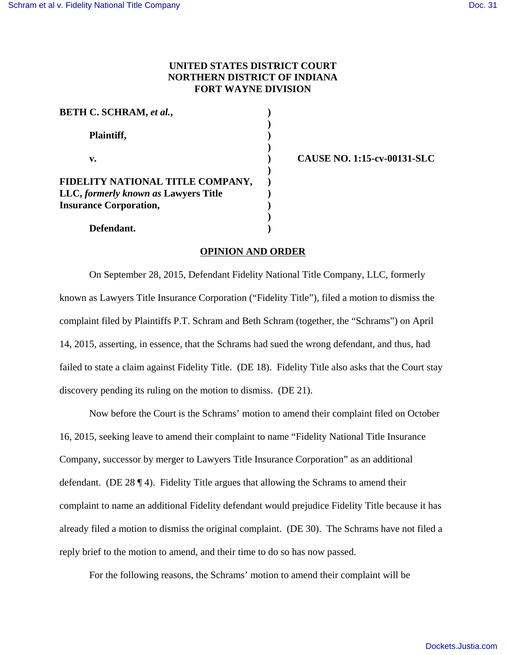# **UNITED STATES DISTRICT COURT NORTHERN DISTRICT OF INDIANA FORT WAYNE DIVISION**

| <b>BETH C. SCHRAM, et al.,</b>       |  |
|--------------------------------------|--|
| Plaintiff,                           |  |
| v.                                   |  |
| FIDELITY NATIONAL TITLE COMPANY,     |  |
| LLC, formerly known as Lawyers Title |  |
| <b>Insurance Corporation,</b>        |  |
|                                      |  |
| Defendant.                           |  |

**v. ) CAUSE NO. 1:15-cv-00131-SLC**

#### **OPINION AND ORDER**

On September 28, 2015, Defendant Fidelity National Title Company, LLC, formerly known as Lawyers Title Insurance Corporation ("Fidelity Title"), filed a motion to dismiss the complaint filed by Plaintiffs P.T. Schram and Beth Schram (together, the "Schrams") on April 14, 2015, asserting, in essence, that the Schrams had sued the wrong defendant, and thus, had failed to state a claim against Fidelity Title. (DE 18). Fidelity Title also asks that the Court stay discovery pending its ruling on the motion to dismiss. (DE 21).

Now before the Court is the Schrams' motion to amend their complaint filed on October 16, 2015, seeking leave to amend their complaint to name "Fidelity National Title Insurance Company, successor by merger to Lawyers Title Insurance Corporation" as an additional defendant. (DE 28 ¶ 4). Fidelity Title argues that allowing the Schrams to amend their complaint to name an additional Fidelity defendant would prejudice Fidelity Title because it has already filed a motion to dismiss the original complaint. (DE 30). The Schrams have not filed a reply brief to the motion to amend, and their time to do so has now passed.

For the following reasons, the Schrams' motion to amend their complaint will be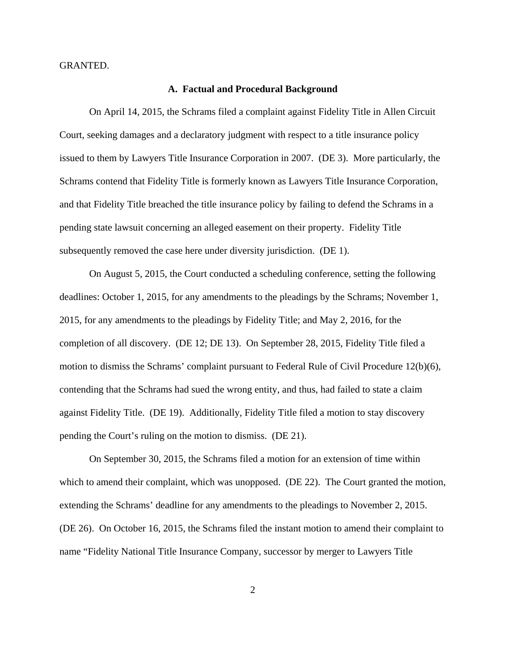GRANTED.

#### **A. Factual and Procedural Background**

On April 14, 2015, the Schrams filed a complaint against Fidelity Title in Allen Circuit Court, seeking damages and a declaratory judgment with respect to a title insurance policy issued to them by Lawyers Title Insurance Corporation in 2007. (DE 3). More particularly, the Schrams contend that Fidelity Title is formerly known as Lawyers Title Insurance Corporation, and that Fidelity Title breached the title insurance policy by failing to defend the Schrams in a pending state lawsuit concerning an alleged easement on their property. Fidelity Title subsequently removed the case here under diversity jurisdiction. (DE 1).

On August 5, 2015, the Court conducted a scheduling conference, setting the following deadlines: October 1, 2015, for any amendments to the pleadings by the Schrams; November 1, 2015, for any amendments to the pleadings by Fidelity Title; and May 2, 2016, for the completion of all discovery. (DE 12; DE 13). On September 28, 2015, Fidelity Title filed a motion to dismiss the Schrams' complaint pursuant to Federal Rule of Civil Procedure 12(b)(6), contending that the Schrams had sued the wrong entity, and thus, had failed to state a claim against Fidelity Title. (DE 19). Additionally, Fidelity Title filed a motion to stay discovery pending the Court's ruling on the motion to dismiss. (DE 21).

On September 30, 2015, the Schrams filed a motion for an extension of time within which to amend their complaint, which was unopposed. (DE 22). The Court granted the motion, extending the Schrams' deadline for any amendments to the pleadings to November 2, 2015. (DE 26). On October 16, 2015, the Schrams filed the instant motion to amend their complaint to name "Fidelity National Title Insurance Company, successor by merger to Lawyers Title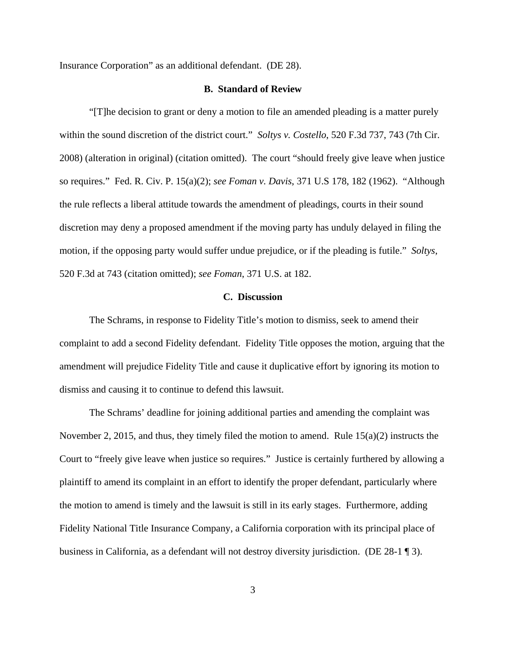Insurance Corporation" as an additional defendant. (DE 28).

#### **B. Standard of Review**

"[T]he decision to grant or deny a motion to file an amended pleading is a matter purely within the sound discretion of the district court." *Soltys v. Costello*, 520 F.3d 737, 743 (7th Cir. 2008) (alteration in original) (citation omitted). The court "should freely give leave when justice so requires." Fed. R. Civ. P. 15(a)(2); *see Foman v. Davis*, 371 U.S 178, 182 (1962). "Although the rule reflects a liberal attitude towards the amendment of pleadings, courts in their sound discretion may deny a proposed amendment if the moving party has unduly delayed in filing the motion, if the opposing party would suffer undue prejudice, or if the pleading is futile." *Soltys*, 520 F.3d at 743 (citation omitted); *see Foman*, 371 U.S. at 182.

## **C. Discussion**

The Schrams, in response to Fidelity Title's motion to dismiss, seek to amend their complaint to add a second Fidelity defendant. Fidelity Title opposes the motion, arguing that the amendment will prejudice Fidelity Title and cause it duplicative effort by ignoring its motion to dismiss and causing it to continue to defend this lawsuit.

The Schrams' deadline for joining additional parties and amending the complaint was November 2, 2015, and thus, they timely filed the motion to amend. Rule 15(a)(2) instructs the Court to "freely give leave when justice so requires." Justice is certainly furthered by allowing a plaintiff to amend its complaint in an effort to identify the proper defendant, particularly where the motion to amend is timely and the lawsuit is still in its early stages. Furthermore, adding Fidelity National Title Insurance Company, a California corporation with its principal place of business in California, as a defendant will not destroy diversity jurisdiction. (DE 28-1 ¶ 3).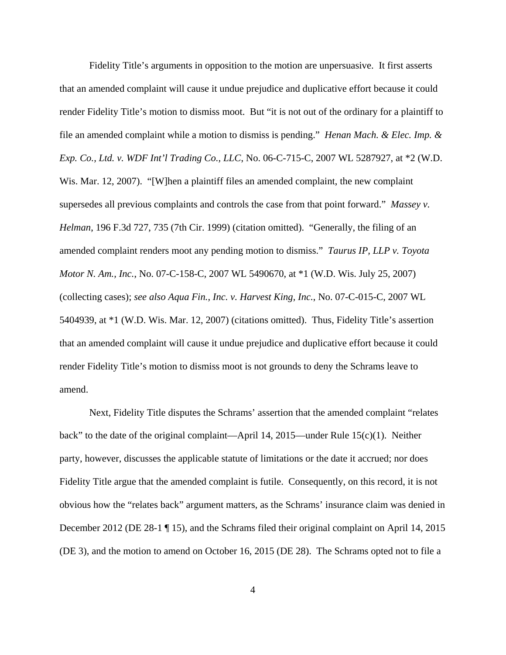Fidelity Title's arguments in opposition to the motion are unpersuasive. It first asserts that an amended complaint will cause it undue prejudice and duplicative effort because it could render Fidelity Title's motion to dismiss moot. But "it is not out of the ordinary for a plaintiff to file an amended complaint while a motion to dismiss is pending." *Henan Mach. & Elec. Imp. & Exp. Co., Ltd. v. WDF Int'l Trading Co., LLC*, No. 06-C-715-C, 2007 WL 5287927, at \*2 (W.D. Wis. Mar. 12, 2007). "[W]hen a plaintiff files an amended complaint, the new complaint supersedes all previous complaints and controls the case from that point forward." *Massey v. Helman*, 196 F.3d 727, 735 (7th Cir. 1999) (citation omitted). "Generally, the filing of an amended complaint renders moot any pending motion to dismiss." *Taurus IP, LLP v. Toyota Motor N. Am., Inc.*, No. 07-C-158-C, 2007 WL 5490670, at \*1 (W.D. Wis. July 25, 2007) (collecting cases); *see also Aqua Fin., Inc. v. Harvest King, Inc.*, No. 07-C-015-C, 2007 WL 5404939, at \*1 (W.D. Wis. Mar. 12, 2007) (citations omitted). Thus, Fidelity Title's assertion that an amended complaint will cause it undue prejudice and duplicative effort because it could render Fidelity Title's motion to dismiss moot is not grounds to deny the Schrams leave to amend.

Next, Fidelity Title disputes the Schrams' assertion that the amended complaint "relates back" to the date of the original complaint—April 14, 2015—under Rule 15(c)(1). Neither party, however, discusses the applicable statute of limitations or the date it accrued; nor does Fidelity Title argue that the amended complaint is futile. Consequently, on this record, it is not obvious how the "relates back" argument matters, as the Schrams' insurance claim was denied in December 2012 (DE 28-1 ¶ 15), and the Schrams filed their original complaint on April 14, 2015 (DE 3), and the motion to amend on October 16, 2015 (DE 28). The Schrams opted not to file a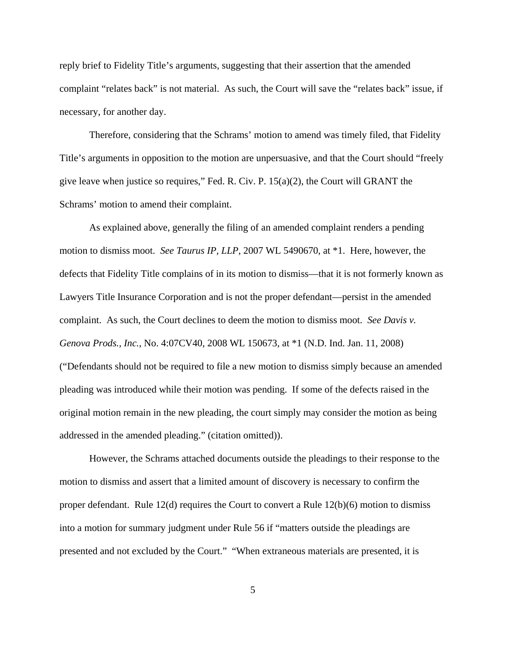reply brief to Fidelity Title's arguments, suggesting that their assertion that the amended complaint "relates back" is not material. As such, the Court will save the "relates back" issue, if necessary, for another day.

Therefore, considering that the Schrams' motion to amend was timely filed, that Fidelity Title's arguments in opposition to the motion are unpersuasive, and that the Court should "freely give leave when justice so requires," Fed. R. Civ. P.  $15(a)(2)$ , the Court will GRANT the Schrams' motion to amend their complaint.

As explained above, generally the filing of an amended complaint renders a pending motion to dismiss moot. *See Taurus IP, LLP*, 2007 WL 5490670, at \*1. Here, however, the defects that Fidelity Title complains of in its motion to dismiss—that it is not formerly known as Lawyers Title Insurance Corporation and is not the proper defendant—persist in the amended complaint. As such, the Court declines to deem the motion to dismiss moot. *See Davis v. Genova Prods., Inc.*, No. 4:07CV40, 2008 WL 150673, at \*1 (N.D. Ind. Jan. 11, 2008) ("Defendants should not be required to file a new motion to dismiss simply because an amended pleading was introduced while their motion was pending. If some of the defects raised in the original motion remain in the new pleading, the court simply may consider the motion as being addressed in the amended pleading." (citation omitted)).

However, the Schrams attached documents outside the pleadings to their response to the motion to dismiss and assert that a limited amount of discovery is necessary to confirm the proper defendant. Rule 12(d) requires the Court to convert a Rule 12(b)(6) motion to dismiss into a motion for summary judgment under Rule 56 if "matters outside the pleadings are presented and not excluded by the Court." "When extraneous materials are presented, it is